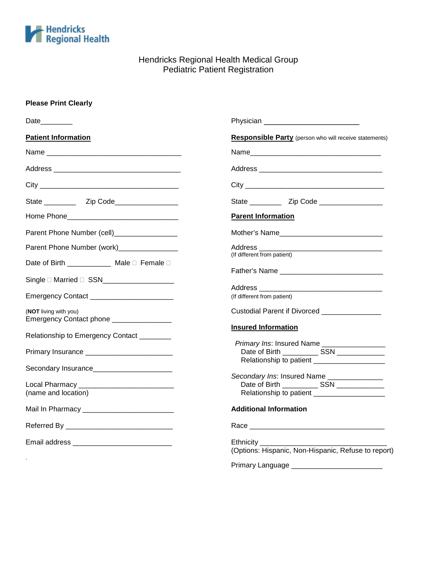

# Hendricks Regional Health Medical Group Pediatric Patient Registration

#### **Please Print Clearly**

| Date________                                                                             | Physician ________________________________                                                                                                      |  |
|------------------------------------------------------------------------------------------|-------------------------------------------------------------------------------------------------------------------------------------------------|--|
| <b>Patient Information</b>                                                               | Responsible Party (person who will receive statements)                                                                                          |  |
|                                                                                          |                                                                                                                                                 |  |
|                                                                                          |                                                                                                                                                 |  |
|                                                                                          |                                                                                                                                                 |  |
|                                                                                          |                                                                                                                                                 |  |
|                                                                                          | <b>Parent Information</b>                                                                                                                       |  |
| Parent Phone Number (cell)__________________                                             | Mother's Name________________________________                                                                                                   |  |
| Parent Phone Number (work)________________                                               | (If different from patient)                                                                                                                     |  |
| Date of Birth ____________ Male D Female D<br>Single □ Married □ SSN____________________ |                                                                                                                                                 |  |
| Emergency Contact ___________________________                                            | (If different from patient)                                                                                                                     |  |
| (NOT living with you)<br>Emergency Contact phone _________________                       | Custodial Parent if Divorced _______________                                                                                                    |  |
| Relationship to Emergency Contact ________                                               | <b>Insured Information</b>                                                                                                                      |  |
|                                                                                          | Primary Ins: Insured Name _________________<br>Date of Birth ______________ SSN ______________<br>Relationship to patient _____________________ |  |
| Secondary Insurance______________________                                                | Secondary Ins: Insured Name ________________                                                                                                    |  |
| Local Pharmacy ______________________________<br>(name and location)                     | Date of Birth _____________ SSN ______________<br>Relationship to patient ______________________                                                |  |
|                                                                                          | <b>Additional Information</b>                                                                                                                   |  |
|                                                                                          |                                                                                                                                                 |  |
|                                                                                          | Ethnicity ______<br>(Options: Hispanic, Non-Hispanic, Refuse to report)                                                                         |  |
|                                                                                          | Primary Language ___________________________                                                                                                    |  |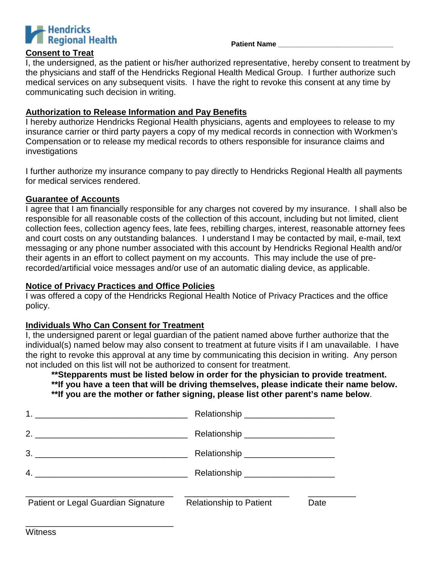

### **Consent to Treat**

I, the undersigned, as the patient or his/her authorized representative, hereby consent to treatment by the physicians and staff of the Hendricks Regional Health Medical Group. I further authorize such medical services on any subsequent visits. I have the right to revoke this consent at any time by communicating such decision in writing.

#### **Authorization to Release Information and Pay Benefits**

I hereby authorize Hendricks Regional Health physicians, agents and employees to release to my insurance carrier or third party payers a copy of my medical records in connection with Workmen's Compensation or to release my medical records to others responsible for insurance claims and investigations

I further authorize my insurance company to pay directly to Hendricks Regional Health all payments for medical services rendered.

#### **Guarantee of Accounts**

I agree that I am financially responsible for any charges not covered by my insurance. I shall also be responsible for all reasonable costs of the collection of this account, including but not limited, client collection fees, collection agency fees, late fees, rebilling charges, interest, reasonable attorney fees and court costs on any outstanding balances. I understand I may be contacted by mail, e-mail, text messaging or any phone number associated with this account by Hendricks Regional Health and/or their agents in an effort to collect payment on my accounts. This may include the use of prerecorded/artificial voice messages and/or use of an automatic dialing device, as applicable.

### **Notice of Privacy Practices and Office Policies**

I was offered a copy of the Hendricks Regional Health Notice of Privacy Practices and the office policy.

# **Individuals Who Can Consent for Treatment**

\_\_\_\_\_\_\_\_\_\_\_\_\_\_\_\_\_\_\_\_\_\_\_\_\_\_\_\_\_\_\_

I, the undersigned parent or legal guardian of the patient named above further authorize that the individual(s) named below may also consent to treatment at future visits if I am unavailable. I have the right to revoke this approval at any time by communicating this decision in writing. Any person not included on this list will not be authorized to consent for treatment.

**\*\*Stepparents must be listed below in order for the physician to provide treatment. \*\*If you have a teen that will be driving themselves, please indicate their name below. \*\*If you are the mother or father signing, please list other parent's name below**.

|                                                                                                                                                                                                                                                                                                                        | Relationship ______________________ |      |
|------------------------------------------------------------------------------------------------------------------------------------------------------------------------------------------------------------------------------------------------------------------------------------------------------------------------|-------------------------------------|------|
| 2. $\frac{1}{2}$ $\frac{1}{2}$ $\frac{1}{2}$ $\frac{1}{2}$ $\frac{1}{2}$ $\frac{1}{2}$ $\frac{1}{2}$ $\frac{1}{2}$ $\frac{1}{2}$ $\frac{1}{2}$ $\frac{1}{2}$ $\frac{1}{2}$ $\frac{1}{2}$ $\frac{1}{2}$ $\frac{1}{2}$ $\frac{1}{2}$ $\frac{1}{2}$ $\frac{1}{2}$ $\frac{1}{2}$ $\frac{1}{2}$ $\frac{1}{2}$ $\frac{1}{2}$ | Relationship ______________________ |      |
| $3.$ $\overline{\phantom{a}}$                                                                                                                                                                                                                                                                                          |                                     |      |
|                                                                                                                                                                                                                                                                                                                        |                                     |      |
| Patient or Legal Guardian Signature                                                                                                                                                                                                                                                                                    | <b>Relationship to Patient</b>      | Date |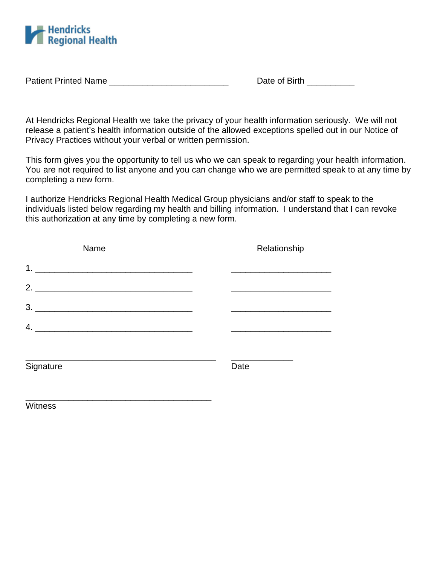

Patient Printed Name \_\_\_\_\_\_\_\_\_\_\_\_\_\_\_\_\_\_\_\_\_\_\_\_\_\_\_\_\_\_\_\_\_\_\_ Date of Birth \_\_\_\_\_\_\_\_\_

At Hendricks Regional Health we take the privacy of your health information seriously. We will not release a patient's health information outside of the allowed exceptions spelled out in our Notice of Privacy Practices without your verbal or written permission.

This form gives you the opportunity to tell us who we can speak to regarding your health information. You are not required to list anyone and you can change who we are permitted speak to at any time by completing a new form.

I authorize Hendricks Regional Health Medical Group physicians and/or staff to speak to the individuals listed below regarding my health and billing information. I understand that I can revoke this authorization at any time by completing a new form.

| Name      |  | Relationship |  |  |
|-----------|--|--------------|--|--|
|           |  |              |  |  |
|           |  |              |  |  |
|           |  |              |  |  |
|           |  |              |  |  |
| Signature |  | Date         |  |  |
| Witness   |  |              |  |  |